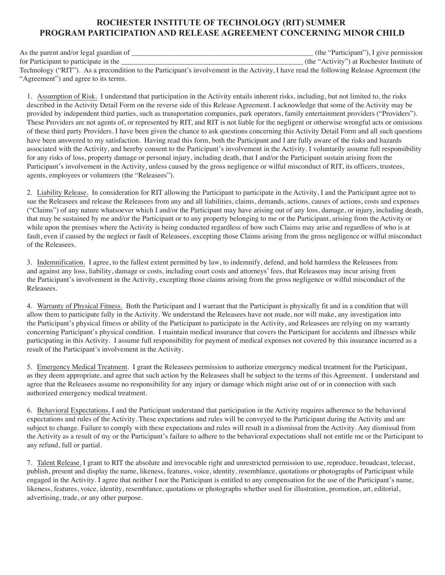# **ROCHESTER INSTITUTE OF TECHNOLOGY (RIT) SUMMER PROGRAM PARTICIPATION AND RELEASE AGREEMENT CONCERNING MINOR CHILD**

As the parent and/or legal guardian of  $\blacksquare$  (the "Participant"), I give permission for Participant to participate in the the the state of the "Activity") at Rochester Institute of Technology ("RIT"). As a precondition to the Participant's involvement in the Activity, I have read the following Release Agreement (the "Agreement") and agree to its terms.

1. Assumption of Risk. I understand that participation in the Activity entails inherent risks, including, but not limited to, the risks described in the Activity Detail Form on the reverse side of this Release Agreement. I acknowledge that some of the Activity may be provided by independent third parties, such as transportation companies, park operators, family entertainment providers ("Providers"). These Providers are not agents of, or represented by RIT, and RIT is not liable for the negligent or otherwise wrongful acts or omissions of these third party Providers. I have been given the chance to ask questions concerning this Activity Detail Form and all such questions have been answered to my satisfaction. Having read this form, both the Participant and I are fully aware of the risks and hazards associated with the Activity, and hereby consent to the Participant's involvement in the Activity. I voluntarily assume full responsibility for any risks of loss, property damage or personal injury, including death, that I and/or the Participant sustain arising from the Participant's involvement in the Activity, unless caused by the gross negligence or wilful misconduct of RIT, its officers, trustees, agents, employees or volunteers (the "Releasees").

2. Liability Release. In consideration for RIT allowing the Participant to participate in the Activity, I and the Participant agree not to sue the Releasees and release the Releasees from any and all liabilities, claims, demands, actions, causes of actions, costs and expenses ("Claims") of any nature whatsoever which I and/or the Participant may have arising out of any loss, damage, or injury, including death, that may be sustained by me and/or the Participant or to any property belonging to me or the Participant, arising from the Activity or while upon the premises where the Activity is being conducted regardless of how such Claims may arise and regardless of who is at fault, even if caused by the neglect or fault of Releasees, excepting those Claims arising from the gross negligence or wilful misconduct of the Releasees.

3. Indemnification. I agree, to the fullest extent permitted by law, to indemnify, defend, and hold harmless the Releasees from and against any loss, liability, damage or costs, including court costs and attorneys' fees, that Releasees may incur arising from the Participant's involvement in the Activity, excepting those claims arising from the gross negligence or wilful misconduct of the Releasees.

4. Warranty of Physical Fitness. Both the Participant and I warrant that the Participant is physically fit and in a condition that will allow them to participate fully in the Activity. We understand the Releasees have not made, nor will make, any investigation into the Participant's physical fitness or ability of the Participant to participate in the Activity, and Releasees are relying on my warranty concerning Participant's physical condition. I maintain medical insurance that covers the Participant for accidents and illnesses while participating in this Activity. I assume full responsibility for payment of medical expenses not covered by this insurance incurred as a result of the Participant's involvement in the Activity.

5. Emergency Medical Treatment. I grant the Releasees permission to authorize emergency medical treatment for the Participant, as they deem appropriate, and agree that such action by the Releasees shall be subject to the terms of this Agreement. I understand and agree that the Releasees assume no responsibility for any injury or damage which might arise out of or in connection with such authorized emergency medical treatment.

6. Behavioral Expectations. I and the Participant understand that participation in the Activity requires adherence to the behavioral expectations and rules of the Activity. These expectations and rules will be conveyed to the Participant during the Activity and are subject to change. Failure to comply with these expectations and rules will result in a dismissal from the Activity. Any dismissal from the Activity as a result of my or the Participant's failure to adhere to the behavioral expectations shall not entitle me or the Participant to any refund, full or partial.

7. Talent Release. I grant to RIT the absolute and irrevocable right and unrestricted permission to use, reproduce, broadcast, telecast, publish, present and display the name, likeness, features, voice, identity, resemblance, quotations or photographs of Participant while engaged in the Activity. I agree that neither I nor the Participant is entitled to any compensation for the use of the Participant's name, likeness, features, voice, identity, resemblance, quotations or photographs whether used for illustration, promotion, art, editorial, advertising, trade, or any other purpose.